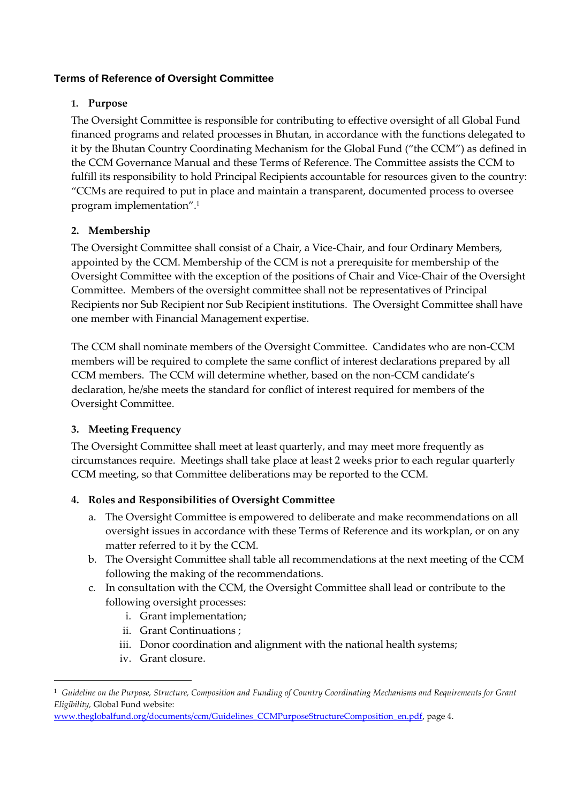# **Terms of Reference of Oversight Committee**

## **1. Purpose**

The Oversight Committee is responsible for contributing to effective oversight of all Global Fund financed programs and related processes in Bhutan, in accordance with the functions delegated to it by the Bhutan Country Coordinating Mechanism for the Global Fund ("the CCM") as defined in the CCM Governance Manual and these Terms of Reference. The Committee assists the CCM to fulfill its responsibility to hold Principal Recipients accountable for resources given to the country: "CCMs are required to put in place and maintain a transparent, documented process to oversee program implementation".<sup>1</sup>

# **2. Membership**

The Oversight Committee shall consist of a Chair, a Vice-Chair, and four Ordinary Members, appointed by the CCM. Membership of the CCM is not a prerequisite for membership of the Oversight Committee with the exception of the positions of Chair and Vice-Chair of the Oversight Committee. Members of the oversight committee shall not be representatives of Principal Recipients nor Sub Recipient nor Sub Recipient institutions. The Oversight Committee shall have one member with Financial Management expertise.

The CCM shall nominate members of the Oversight Committee. Candidates who are non-CCM members will be required to complete the same conflict of interest declarations prepared by all CCM members. The CCM will determine whether, based on the non-CCM candidate's declaration, he/she meets the standard for conflict of interest required for members of the Oversight Committee.

### **3. Meeting Frequency**

The Oversight Committee shall meet at least quarterly, and may meet more frequently as circumstances require. Meetings shall take place at least 2 weeks prior to each regular quarterly CCM meeting, so that Committee deliberations may be reported to the CCM.

### **4. Roles and Responsibilities of Oversight Committee**

- a. The Oversight Committee is empowered to deliberate and make recommendations on all oversight issues in accordance with these Terms of Reference and its workplan, or on any matter referred to it by the CCM.
- b. The Oversight Committee shall table all recommendations at the next meeting of the CCM following the making of the recommendations.
- c. In consultation with the CCM, the Oversight Committee shall lead or contribute to the following oversight processes:
	- i. Grant implementation;
	- ii. Grant Continuations ;
	- iii. Donor coordination and alignment with the national health systems;
	- iv. Grant closure.

-

 $^{\rm 1}$  Guideline on the Purpose, Structure, Composition and Funding of Country Coordinating Mechanisms and Requirements for Grant *Eligibility,* Global Fund website:

[www.theglobalfund.org/documents/ccm/Guidelines\\_CCMPurposeStructureComposition\\_en.pdf,](http://www.theglobalfund.org/documents/ccm/Guidelines_CCMPurposeStructureComposition_en.pdf) page 4.